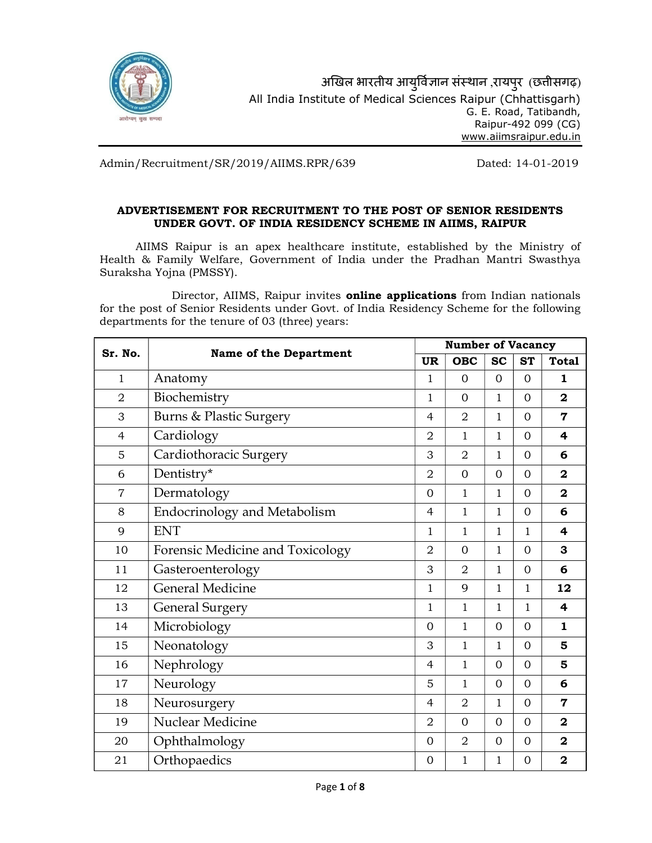

Admin/Recruitment/SR/2019/AIIMS.RPR/639 Dated: 14-01-2019

#### ADVERTISEMENT FOR RECRUITMENT TO THE POST OF SENIOR RESIDENTS UNDER GOVT. OF INDIA RESIDENCY SCHEME IN AIIMS, RAIPUR

AIIMS Raipur is an apex healthcare institute, established by the Ministry of Health & Family Welfare, Government of India under the Pradhan Mantri Swasthya Suraksha Yojna (PMSSY).

Director, AIIMS, Raipur invites **online applications** from Indian nationals for the post of Senior Residents under Govt. of India Residency Scheme for the following departments for the tenure of 03 (three) years:

| Sr. No.        | <b>Name of the Department</b>                     | <b>Number of Vacancy</b> |                |                        |                                  |                |  |  |  |
|----------------|---------------------------------------------------|--------------------------|----------------|------------------------|----------------------------------|----------------|--|--|--|
|                |                                                   | <b>UR</b>                | <b>OBC</b>     | <b>SC</b>              | <b>ST</b>                        | <b>Total</b>   |  |  |  |
| $\mathbf{1}$   | Anatomy                                           | 1                        | $\mathbf{0}$   | $\mathbf{0}$           | $\overline{0}$                   | $\mathbf{1}$   |  |  |  |
| $\overline{2}$ | Biochemistry                                      | 1                        | $\overline{0}$ | 1                      | $\Omega$                         | $\mathbf{2}$   |  |  |  |
| 3              | Burns & Plastic Surgery                           | 4                        | $\overline{2}$ | 1                      | $\Omega$                         | 7              |  |  |  |
| $\overline{4}$ | Cardiology                                        | $\overline{2}$           | 1              | 1                      | $\Omega$                         | 4              |  |  |  |
| 5              | Cardiothoracic Surgery                            | 3                        | $\overline{2}$ | $\mathbf 1$            | $\Omega$                         | 6              |  |  |  |
| 6              | Dentistry*                                        | $\overline{2}$           | $\overline{0}$ | $\overline{0}$         | $\Omega$                         | $\overline{2}$ |  |  |  |
| $\overline{7}$ | Dermatology                                       | $\Omega$                 | 1              | 1                      | $\Omega$                         | $\mathbf{2}$   |  |  |  |
| 8              | <b>Endocrinology and Metabolism</b>               | $\overline{4}$           | 1              | $\mathbf 1$            | $\Omega$                         | 6              |  |  |  |
| 9              | <b>ENT</b>                                        | 1                        | 1              | 1                      | 1                                | 4              |  |  |  |
| 10             | Forensic Medicine and Toxicology                  | $\overline{2}$           | $\mathbf 0$    | 1                      | $\Omega$                         | 3              |  |  |  |
| 11             | Gasteroenterology                                 | 3                        | $\overline{2}$ | 1                      | $\Omega$                         | 6              |  |  |  |
| 12             | <b>General Medicine</b>                           | 1                        | 9              | $\mathbf 1$<br>1<br>12 |                                  |                |  |  |  |
| 13             | <b>General Surgery</b>                            | 1                        | 1              | $\mathbf 1$            | 1<br>4                           |                |  |  |  |
| 14             | Microbiology<br>$\Omega$                          |                          |                |                        | $\overline{0}$                   | $\mathbf{1}$   |  |  |  |
| 15             | Neonatology                                       | 3                        | 1              | 1                      | $\Omega$                         | 5              |  |  |  |
| 16             | Nephrology                                        | $\overline{4}$           | 1              | $\overline{0}$         | $\Omega$                         | 5              |  |  |  |
| 17             | Neurology<br>5<br>$\overline{0}$<br>1<br>$\Omega$ |                          |                |                        |                                  | 6              |  |  |  |
| 18             | Neurosurgery                                      | $\overline{4}$           | $\overline{2}$ | 1                      | $\overline{7}$<br>$\Omega$       |                |  |  |  |
| 19             | Nuclear Medicine                                  | $\overline{2}$           | $\overline{0}$ | $\overline{0}$         | $\overline{0}$<br>$\overline{2}$ |                |  |  |  |
| 20             | Ophthalmology                                     | $\Omega$                 | $\overline{2}$ | $\overline{0}$         | $\overline{2}$<br>$\Omega$       |                |  |  |  |
| 21             | Orthopaedics                                      | $\Omega$                 | 1              | 1                      | $\Omega$                         | $\overline{a}$ |  |  |  |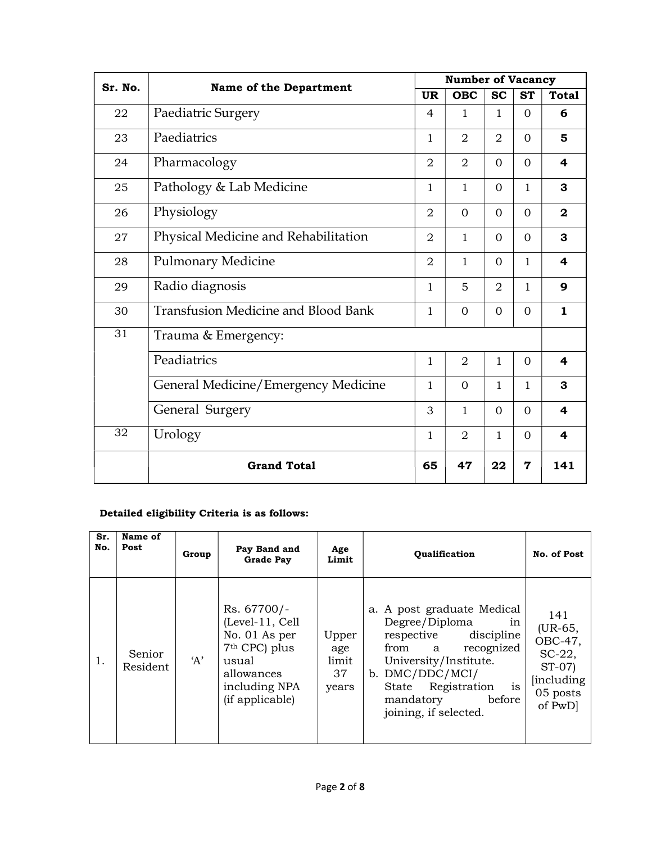| Sr. No. |                                                                                                | <b>Number of Vacancy</b>                                        |                |                |                   |                         |  |  |  |  |  |
|---------|------------------------------------------------------------------------------------------------|-----------------------------------------------------------------|----------------|----------------|-------------------|-------------------------|--|--|--|--|--|
|         | <b>Name of the Department</b>                                                                  | <b>UR</b>                                                       | <b>OBC</b>     | <b>SC</b>      | <b>ST</b>         | <b>Total</b>            |  |  |  |  |  |
| 22      | Paediatric Surgery<br>$\mathbf{1}$<br>1<br>$\Omega$<br>4                                       |                                                                 |                |                |                   |                         |  |  |  |  |  |
| 23      | Paediatrics                                                                                    | $\mathbf{1}$                                                    | $\overline{2}$ | $\overline{2}$ | $\Omega$          | 5                       |  |  |  |  |  |
| 24      | Pharmacology                                                                                   | $\overline{2}$                                                  | $\overline{2}$ | $\Omega$       | $\Omega$          | 4                       |  |  |  |  |  |
| 25      | Pathology & Lab Medicine                                                                       | 1                                                               | $\mathbf{1}$   | $\Omega$       | 1                 | 3                       |  |  |  |  |  |
| 26      | Physiology<br>$\overline{2}$<br>$\overline{0}$<br>$\Omega$<br>$\Omega$                         |                                                                 |                |                |                   |                         |  |  |  |  |  |
| 27      | Physical Medicine and Rehabilitation<br>$\overline{2}$<br>$\mathbf{1}$<br>$\Omega$<br>$\Omega$ |                                                                 |                |                |                   |                         |  |  |  |  |  |
| 28      | <b>Pulmonary Medicine</b>                                                                      | $\overline{2}$<br>4<br>$\mathbf{1}$<br>$\Omega$<br>$\mathbf{1}$ |                |                |                   |                         |  |  |  |  |  |
| 29      | Radio diagnosis                                                                                | 1                                                               | 5              | $\overline{2}$ | 9<br>$\mathbf{1}$ |                         |  |  |  |  |  |
| 30      | <b>Transfusion Medicine and Blood Bank</b>                                                     | $\mathbf{1}$                                                    | $\Omega$       | $\Omega$       | $\Omega$          | $\mathbf{1}$            |  |  |  |  |  |
| 31      | Trauma & Emergency:                                                                            |                                                                 |                |                |                   |                         |  |  |  |  |  |
|         | Peadiatrics                                                                                    | $\mathbf{1}$                                                    | $\overline{2}$ | 1              | $\Omega$          | $\overline{\mathbf{4}}$ |  |  |  |  |  |
|         | General Medicine/Emergency Medicine                                                            | 1                                                               | $\overline{0}$ | $\mathbf{1}$   | 1                 | 3                       |  |  |  |  |  |
|         | General Surgery                                                                                | 3                                                               | $\mathbf{1}$   | $\Omega$       | $\Omega$          | 4                       |  |  |  |  |  |
| 32      | Urology                                                                                        | 1                                                               | $\overline{2}$ | $\mathbf{1}$   | $\Omega$          | 4                       |  |  |  |  |  |
|         | <b>Grand Total</b>                                                                             | 65                                                              | 47             | 22             | 7                 | 141                     |  |  |  |  |  |

# Detailed eligibility Criteria is as follows:

| Sr.<br>No. | Name of<br>Post    | Group | Pay Band and<br><b>Grade Pay</b>                                                                                                        | Age<br>Limit                         | <b>Qualification</b>                                                                                                                                                                                                              | No. of Post                                                                             |
|------------|--------------------|-------|-----------------------------------------------------------------------------------------------------------------------------------------|--------------------------------------|-----------------------------------------------------------------------------------------------------------------------------------------------------------------------------------------------------------------------------------|-----------------------------------------------------------------------------------------|
| 1.         | Senior<br>Resident | A'    | Rs. 67700/-<br>(Level-11, Cell<br>No. 01 As per<br>7 <sup>th</sup> CPC) plus<br>usual<br>allowances<br>including NPA<br>(if applicable) | Upper<br>age<br>limit<br>37<br>years | a. A post graduate Medical<br>Degree/Diploma<br>in<br>respective<br>discipline<br>from a<br>recognized<br>University/Institute.<br>b. DMC/DDC/MCI/<br>is<br>Registration<br>State<br>mandatory<br>before<br>joining, if selected. | 141<br>(UR-65,<br>OBC-47,<br>$SC-22$ ,<br>$ST-07$<br>[including]<br>05 posts<br>of PwD] |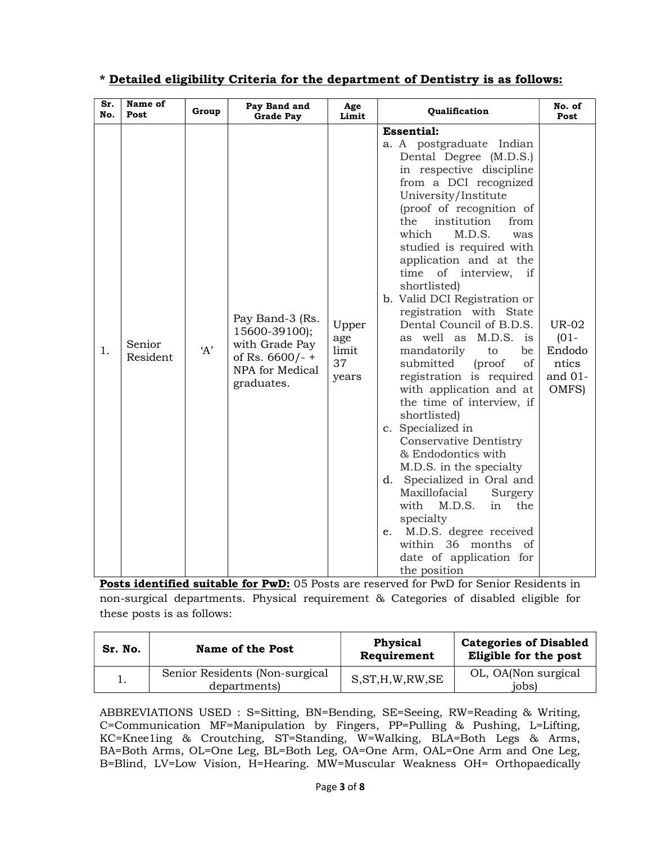| Sr.<br>No. | Name of<br>Post    | Group | Pay Band and<br><b>Grade Pay</b>                                                                         | Age<br>Limit                         | Qualification                                                                                                                                                                                                                                                                                                                                                                                                                                                                                                                                                                                                                                                                                                                                                                                                                                                                                                                              | No. of<br>Post                                                 |
|------------|--------------------|-------|----------------------------------------------------------------------------------------------------------|--------------------------------------|--------------------------------------------------------------------------------------------------------------------------------------------------------------------------------------------------------------------------------------------------------------------------------------------------------------------------------------------------------------------------------------------------------------------------------------------------------------------------------------------------------------------------------------------------------------------------------------------------------------------------------------------------------------------------------------------------------------------------------------------------------------------------------------------------------------------------------------------------------------------------------------------------------------------------------------------|----------------------------------------------------------------|
| 1.         | Senior<br>Resident | A'    | Pay Band-3 (Rs.<br>15600-39100);<br>with Grade Pay<br>of Rs. $6600/-$ +<br>NPA for Medical<br>graduates. | Upper<br>age<br>limit<br>37<br>years | <b>Essential:</b><br>a. A postgraduate Indian<br>Dental Degree (M.D.S.)<br>in respective discipline<br>from a DCI recognized<br>University/Institute<br>(proof of recognition of<br>institution<br>the<br>from<br>which<br>M.D.S.<br>was<br>studied is required with<br>application and at the<br>of interview, if<br>time<br>shortlisted)<br>b. Valid DCI Registration or<br>registration with State<br>Dental Council of B.D.S.<br>as well as M.D.S.<br>is<br>be<br>mandatorily<br>to<br>submitted<br>(proof<br>of<br>registration is required<br>with application and at<br>the time of interview, if<br>shortlisted)<br>c. Specialized in<br><b>Conservative Dentistry</b><br>& Endodontics with<br>M.D.S. in the specialty<br>Specialized in Oral and<br>d.<br>Maxillofacial<br>Surgery<br>M.D.S.<br>with<br>in the<br>specialty<br>M.D.S. degree received<br>e.<br>within 36 months<br>of<br>date of application for<br>the position | <b>UR-02</b><br>$(01 -$<br>Endodo<br>ntics<br>and 01-<br>OMFS) |

## \* Detailed eligibility Criteria for the department of Dentistry is as follows:

Posts identified suitable for PwD: 05 Posts are reserved for PwD for Senior Residents in non-surgical departments. Physical requirement & Categories of disabled eligible for these posts is as follows:

| Sr. No. | Name of the Post                               | <b>Physical</b><br>Requirement | <b>Categories of Disabled</b><br>Eligible for the post |
|---------|------------------------------------------------|--------------------------------|--------------------------------------------------------|
|         | Senior Residents (Non-surgical<br>departments) | S, ST, H, W, RW, SE            | OL, OA(Non surgical<br><i>iobs</i> )                   |

ABBREVIATIONS USED : S=Sitting, BN=Bending, SE=Seeing, RW=Reading & Writing, C=Communication MF=Manipulation by Fingers, PP=Pulling & Pushing, L=Lifting, KC=Knee1ing & Croutching, ST=Standing, W=Walking, BLA=Both Legs & Arms, BA=Both Arms, OL=One Leg, BL=Both Leg, OA=One Arm, OAL=One Arm and One Leg, B=Blind, LV=Low Vision, H=Hearing. MW=Muscular Weakness OH= Orthopaedically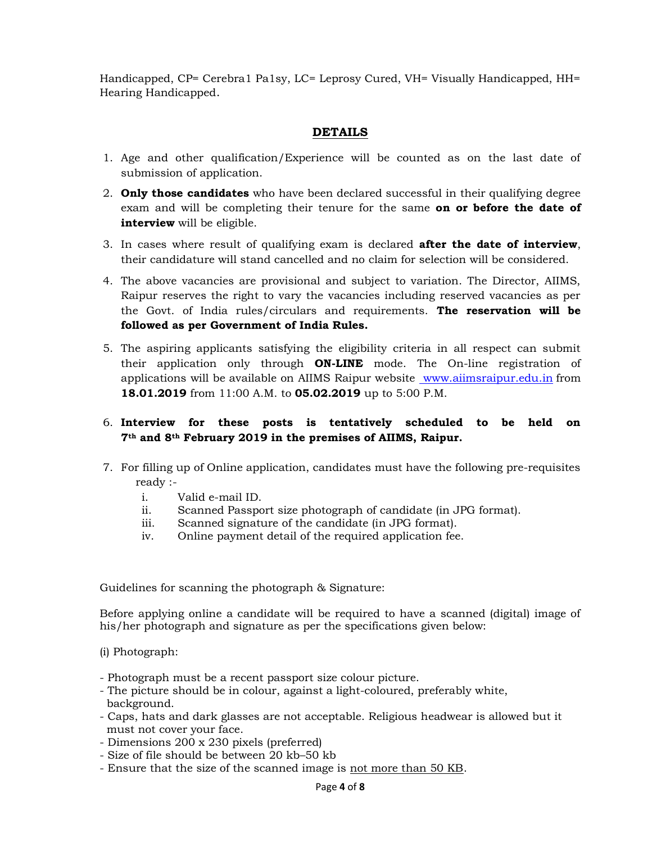Handicapped, CP= Cerebra1 Pa1sy, LC= Leprosy Cured, VH= Visually Handicapped, HH= Hearing Handicapped.

### DETAILS

- 1. Age and other qualification/Experience will be counted as on the last date of submission of application.
- 2. **Only those candidates** who have been declared successful in their qualifying degree exam and will be completing their tenure for the same on or before the date of interview will be eligible.
- 3. In cases where result of qualifying exam is declared after the date of interview, their candidature will stand cancelled and no claim for selection will be considered.
- 4. The above vacancies are provisional and subject to variation. The Director, AIIMS, Raipur reserves the right to vary the vacancies including reserved vacancies as per the Govt. of India rules/circulars and requirements. The reservation will be followed as per Government of India Rules.
- 5. The aspiring applicants satisfying the eligibility criteria in all respect can submit their application only through **ON-LINE** mode. The On-line registration of applications will be available on AIIMS Raipur website www.aiimsraipur.edu.in from 18.01.2019 from 11:00 A.M. to 05.02.2019 up to 5:00 P.M.
- 6. Interview for these posts is tentatively scheduled to be held on 7th and 8th February 2019 in the premises of AIIMS, Raipur.
- 7. For filling up of Online application, candidates must have the following pre-requisites ready :
	- i. Valid e-mail ID.
	- ii. Scanned Passport size photograph of candidate (in JPG format).
	- iii. Scanned signature of the candidate (in JPG format).
	- iv. Online payment detail of the required application fee.

Guidelines for scanning the photograph & Signature:

Before applying online a candidate will be required to have a scanned (digital) image of his/her photograph and signature as per the specifications given below:

(i) Photograph:

- Photograph must be a recent passport size colour picture.
- The picture should be in colour, against a light-coloured, preferably white, background.
- Caps, hats and dark glasses are not acceptable. Religious headwear is allowed but it must not cover your face.
- Dimensions 200 x 230 pixels (preferred)
- Size of file should be between 20 kb–50 kb
- Ensure that the size of the scanned image is not more than 50 KB.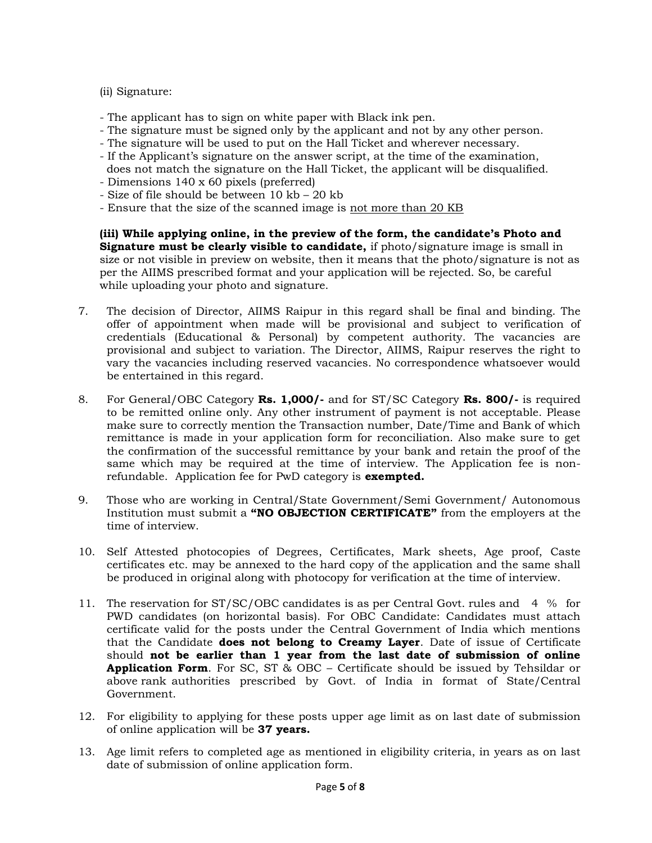(ii) Signature:

- The applicant has to sign on white paper with Black ink pen.
- The signature must be signed only by the applicant and not by any other person.
- The signature will be used to put on the Hall Ticket and wherever necessary.
- If the Applicant's signature on the answer script, at the time of the examination, does not match the signature on the Hall Ticket, the applicant will be disqualified.
- Dimensions 140 x 60 pixels (preferred)
- Size of file should be between 10 kb 20 kb
- Ensure that the size of the scanned image is not more than 20 KB

(iii) While applying online, in the preview of the form, the candidate's Photo and Signature must be clearly visible to candidate, if photo/signature image is small in size or not visible in preview on website, then it means that the photo/signature is not as per the AIIMS prescribed format and your application will be rejected. So, be careful while uploading your photo and signature.

- 7. The decision of Director, AIIMS Raipur in this regard shall be final and binding. The offer of appointment when made will be provisional and subject to verification of credentials (Educational & Personal) by competent authority. The vacancies are provisional and subject to variation. The Director, AIIMS, Raipur reserves the right to vary the vacancies including reserved vacancies. No correspondence whatsoever would be entertained in this regard.
- 8. For General/OBC Category Rs. 1,000/- and for ST/SC Category Rs. 800/- is required to be remitted online only. Any other instrument of payment is not acceptable. Please make sure to correctly mention the Transaction number, Date/Time and Bank of which remittance is made in your application form for reconciliation. Also make sure to get the confirmation of the successful remittance by your bank and retain the proof of the same which may be required at the time of interview. The Application fee is nonrefundable. Application fee for PwD category is **exempted.**
- 9. Those who are working in Central/State Government/Semi Government/ Autonomous Institution must submit a "NO OBJECTION CERTIFICATE" from the employers at the time of interview.
- 10. Self Attested photocopies of Degrees, Certificates, Mark sheets, Age proof, Caste certificates etc. may be annexed to the hard copy of the application and the same shall be produced in original along with photocopy for verification at the time of interview.
- 11. The reservation for ST/SC/OBC candidates is as per Central Govt. rules and 4 % for PWD candidates (on horizontal basis). For OBC Candidate: Candidates must attach certificate valid for the posts under the Central Government of India which mentions that the Candidate **does not belong to Creamy Layer**. Date of issue of Certificate should not be earlier than 1 year from the last date of submission of online Application Form. For SC, ST & OBC – Certificate should be issued by Tehsildar or above rank authorities prescribed by Govt. of India in format of State/Central Government.
- 12. For eligibility to applying for these posts upper age limit as on last date of submission of online application will be 37 years.
- 13. Age limit refers to completed age as mentioned in eligibility criteria, in years as on last date of submission of online application form.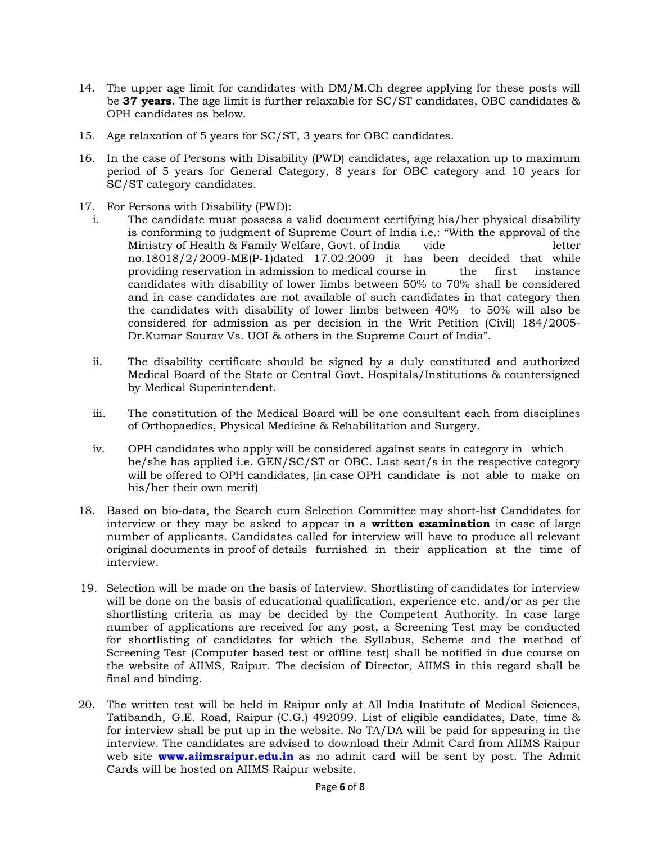- 14. The upper age limit for candidates with DM/M.Ch degree applying for these posts will be 37 years. The age limit is further relaxable for SC/ST candidates, OBC candidates & OPH candidates as below.
- 15. Age relaxation of 5 years for SC/ST, 3 years for OBC candidates.
- 16. In the case of Persons with Disability (PWD) candidates, age relaxation up to maximum period of 5 years for General Category, 8 years for OBC category and 10 years for SC/ST category candidates.
- 17. For Persons with Disability (PWD):
	- i. The candidate must possess a valid document certifying his/her physical disability is conforming to judgment of Supreme Court of India i.e.: "With the approval of the Ministry of Health & Family Welfare, Govt. of India vide letter no.18018/2/2009-ME(P-1)dated 17.02.2009 it has been decided that while providing reservation in admission to medical course in the first instance providing reservation in admission to medical course in the first instance candidates with disability of lower limbs between 50% to 70% shall be considered and in case candidates are not available of such candidates in that category then the candidates with disability of lower limbs between 40% to 50% will also be considered for admission as per decision in the Writ Petition (Civil) 184/2005- Dr.Kumar Sourav Vs. UOI & others in the Supreme Court of India".
	- ii. The disability certificate should be signed by a duly constituted and authorized Medical Board of the State or Central Govt. Hospitals/Institutions & countersigned by Medical Superintendent.
	- iii. The constitution of the Medical Board will be one consultant each from disciplines of Orthopaedics, Physical Medicine & Rehabilitation and Surgery.
	- iv. OPH candidates who apply will be considered against seats in category in which he/she has applied i.e. GEN/SC/ST or OBC. Last seat/s in the respective category will be offered to OPH candidates, (in case OPH candidate is not able to make on his/her their own merit)
- 18. Based on bio-data, the Search cum Selection Committee may short-list Candidates for interview or they may be asked to appear in a **written examination** in case of large number of applicants. Candidates called for interview will have to produce all relevant original documents in proof of details furnished in their application at the time of interview.
- 19. Selection will be made on the basis of Interview. Shortlisting of candidates for interview will be done on the basis of educational qualification, experience etc. and/or as per the shortlisting criteria as may be decided by the Competent Authority. In case large number of applications are received for any post, a Screening Test may be conducted for shortlisting of candidates for which the Syllabus, Scheme and the method of Screening Test (Computer based test or offline test) shall be notified in due course on the website of AIIMS, Raipur. The decision of Director, AIIMS in this regard shall be final and binding.
- 20. The written test will be held in Raipur only at All India Institute of Medical Sciences, Tatibandh, G.E. Road, Raipur (C.G.) 492099. List of eligible candidates, Date, time & for interview shall be put up in the website. No TA/DA will be paid for appearing in the interview. The candidates are advised to download their Admit Card from AIIMS Raipur web site **www.aiimsraipur.edu.in** as no admit card will be sent by post. The Admit Cards will be hosted on AIIMS Raipur website.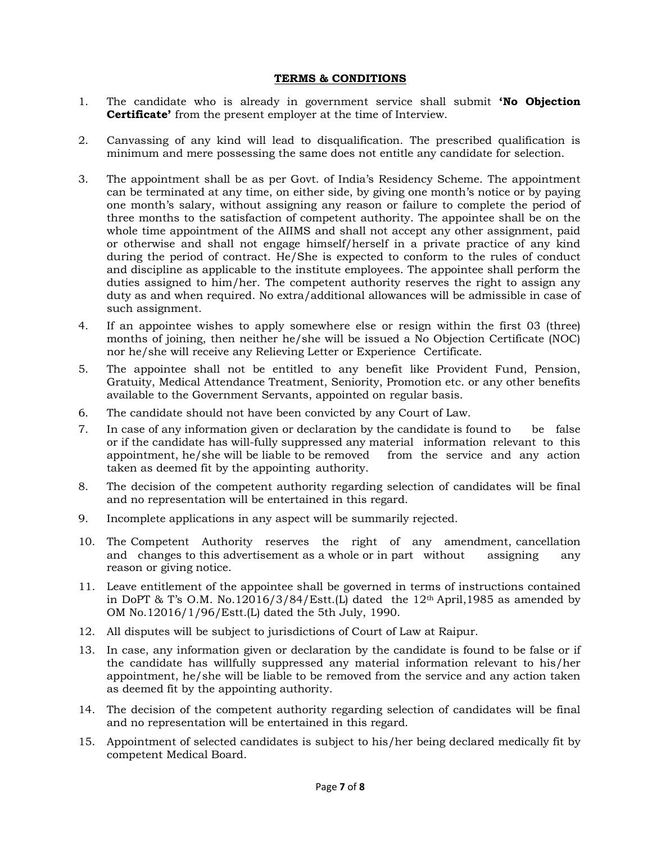### TERMS & CONDITIONS

- 1. The candidate who is already in government service shall submit **'No Objection** Certificate' from the present employer at the time of Interview.
- 2. Canvassing of any kind will lead to disqualification. The prescribed qualification is minimum and mere possessing the same does not entitle any candidate for selection.
- 3. The appointment shall be as per Govt. of India's Residency Scheme. The appointment can be terminated at any time, on either side, by giving one month's notice or by paying one month's salary, without assigning any reason or failure to complete the period of three months to the satisfaction of competent authority. The appointee shall be on the whole time appointment of the AIIMS and shall not accept any other assignment, paid or otherwise and shall not engage himself/herself in a private practice of any kind during the period of contract. He/She is expected to conform to the rules of conduct and discipline as applicable to the institute employees. The appointee shall perform the duties assigned to him/her. The competent authority reserves the right to assign any duty as and when required. No extra/additional allowances will be admissible in case of such assignment.
- 4. If an appointee wishes to apply somewhere else or resign within the first 03 (three) months of joining, then neither he/she will be issued a No Objection Certificate (NOC) nor he/she will receive any Relieving Letter or Experience Certificate.
- 5. The appointee shall not be entitled to any benefit like Provident Fund, Pension, Gratuity, Medical Attendance Treatment, Seniority, Promotion etc. or any other benefits available to the Government Servants, appointed on regular basis.
- 6. The candidate should not have been convicted by any Court of Law.
- 7. In case of any information given or declaration by the candidate is found to be false or if the candidate has will-fully suppressed any material information relevant to this appointment, he/she will be liable to be removed from the service and any action taken as deemed fit by the appointing authority.
- 8. The decision of the competent authority regarding selection of candidates will be final and no representation will be entertained in this regard.
- 9. Incomplete applications in any aspect will be summarily rejected.
- 10. The Competent Authority reserves the right of any amendment, cancellation and changes to this advertisement as a whole or in part without assigning any reason or giving notice.
- 11. Leave entitlement of the appointee shall be governed in terms of instructions contained in DoPT & T's O.M. No.12016/3/84/Estt.(L) dated the  $12<sup>th</sup>$  April, 1985 as amended by OM No.12016/1/96/Estt.(L) dated the 5th July, 1990.
- 12. All disputes will be subject to jurisdictions of Court of Law at Raipur.
- 13. In case, any information given or declaration by the candidate is found to be false or if the candidate has willfully suppressed any material information relevant to his/her appointment, he/she will be liable to be removed from the service and any action taken as deemed fit by the appointing authority.
- 14. The decision of the competent authority regarding selection of candidates will be final and no representation will be entertained in this regard.
- 15. Appointment of selected candidates is subject to his/her being declared medically fit by competent Medical Board.